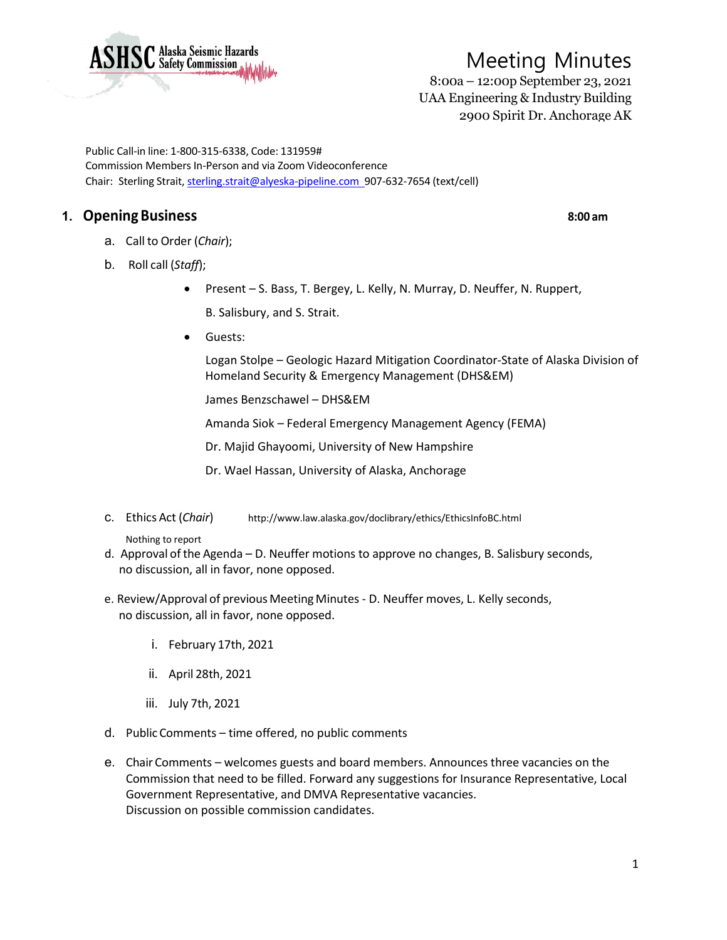

8:00a – 12:00p September 23, 2021 UAA Engineering & Industry Building 2900 Spirit Dr. Anchorage AK

Public Call-in line: 1-800-315-6338, Code: 131959# Commission Members In-Person and via Zoom Videoconference Chair: Sterling Strait, [sterling.strait@alyeska-pipeline.com](mailto:sterling.strait@alyeska-pipeline.com) 907-632-7654 (text/cell)

## **1. OpeningBusiness 8:00 am**

- a. Call to Order (*Chair*);
- b. Roll call (*Staff*);
	- Present S. Bass, T. Bergey, L. Kelly, N. Murray, D. Neuffer, N. Ruppert,
		- B. Salisbury, and S. Strait.
	- Guests:

Logan Stolpe – Geologic Hazard Mitigation Coordinator-State of Alaska Division of Homeland Security & Emergency Management (DHS&EM)

James Benzschawel – DHS&EM

Amanda Siok – Federal Emergency Management Agency (FEMA)

Dr. Majid Ghayoomi, University of New Hampshire

Dr. Wael Hassan, University of Alaska, Anchorage

c. Ethics Act (*Chair*) <http://www.law.alaska.gov/doclibrary/ethics/EthicsInfoBC.html>

Nothing to report

- d. Approval ofthe Agenda D. Neuffer motions to approve no changes, B. Salisbury seconds, no discussion, all in favor, none opposed.
- e. Review/Approval of previous MeetingMinutes D. Neuffer moves, L. Kelly seconds, no discussion, all in favor, none opposed.
	- i. February 17th, 2021
	- ii. April 28th, 2021
	- iii. July 7th, 2021
- d. PublicComments time offered, no public comments
- e. Chair Comments welcomes guests and board members. Announces three vacancies on the Commission that need to be filled. Forward any suggestions for Insurance Representative, Local Government Representative, and DMVA Representative vacancies. Discussion on possible commission candidates.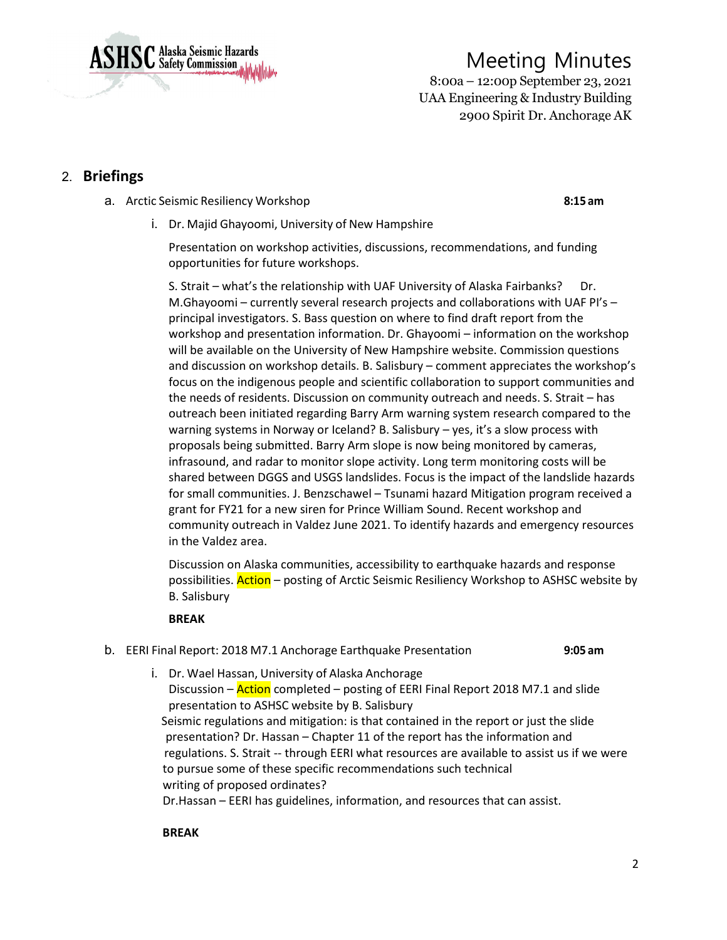

8:00a – 12:00p September 23, 2021 UAA Engineering & Industry Building 2900 Spirit Dr. Anchorage AK

## 2. **Briefings**

a. Arctic Seismic Resiliency Workshop **8:15 am**

i. Dr. Majid Ghayoomi, University of New Hampshire

Presentation on workshop activities, discussions, recommendations, and funding opportunities for future workshops.

S. Strait – what's the relationship with UAF University of Alaska Fairbanks? Dr. M.Ghayoomi – currently several research projects and collaborations with UAF PI's – principal investigators. S. Bass question on where to find draft report from the workshop and presentation information. Dr. Ghayoomi – information on the workshop will be available on the University of New Hampshire website. Commission questions and discussion on workshop details. B. Salisbury – comment appreciates the workshop's focus on the indigenous people and scientific collaboration to support communities and the needs of residents. Discussion on community outreach and needs. S. Strait – has outreach been initiated regarding Barry Arm warning system research compared to the warning systems in Norway or Iceland? B. Salisbury – yes, it's a slow process with proposals being submitted. Barry Arm slope is now being monitored by cameras, infrasound, and radar to monitor slope activity. Long term monitoring costs will be shared between DGGS and USGS landslides. Focus is the impact of the landslide hazards for small communities. J. Benzschawel – Tsunami hazard Mitigation program received a grant for FY21 for a new siren for Prince William Sound. Recent workshop and community outreach in Valdez June 2021. To identify hazards and emergency resources in the Valdez area.

Discussion on Alaska communities, accessibility to earthquake hazards and response possibilities. **Action** – posting of Arctic Seismic Resiliency Workshop to ASHSC website by B. Salisbury

#### **BREAK**

- b. EERI Final Report: 2018 M7.1 Anchorage Earthquake Presentation **9:05 am**
	- i. Dr. Wael Hassan, University of Alaska Anchorage Discussion – Action completed – posting of EERI Final Report 2018 M7.1 and slide presentation to ASHSC website by B. Salisbury Seismic regulations and mitigation: is that contained in the report or just the slide presentation? Dr. Hassan – Chapter 11 of the report has the information and regulations. S. Strait -- through EERI what resources are available to assist us if we were to pursue some of these specific recommendations such technical writing of proposed ordinates? Dr.Hassan – EERI has guidelines, information, and resources that can assist.

**BREAK**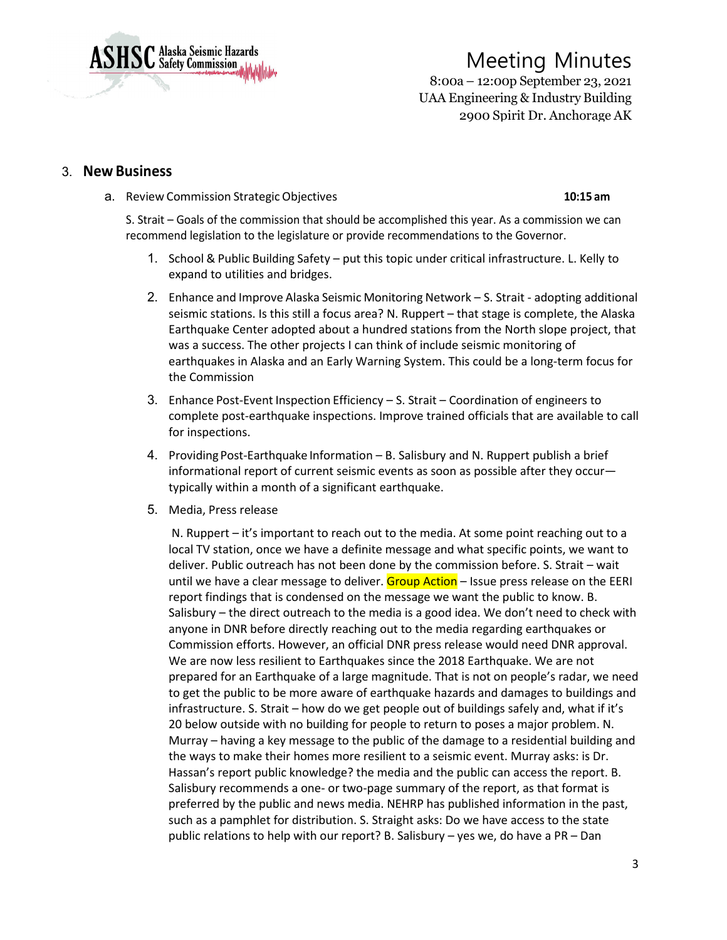

8:00a – 12:00p September 23, 2021 UAA Engineering & Industry Building 2900 Spirit Dr. Anchorage AK

#### 3. **New Business**

a. Review Commission StrategicObjectives **10:15 am**

S. Strait – Goals of the commission that should be accomplished this year. As a commission we can recommend legislation to the legislature or provide recommendations to the Governor.

- 1. School & Public Building Safety put this topic under critical infrastructure. L. Kelly to expand to utilities and bridges.
- 2. Enhance and Improve Alaska Seismic Monitoring Network S. Strait adopting additional seismic stations. Is this still a focus area? N. Ruppert – that stage is complete, the Alaska Earthquake Center adopted about a hundred stations from the North slope project, that was a success. The other projects I can think of include seismic monitoring of earthquakes in Alaska and an Early Warning System. This could be a long-term focus for the Commission
- 3. Enhance Post-Event Inspection Efficiency S. Strait Coordination of engineers to complete post-earthquake inspections. Improve trained officials that are available to call for inspections.
- 4. Providing Post-Earthquake Information B. Salisbury and N. Ruppert publish a brief informational report of current seismic events as soon as possible after they occur typically within a month of a significant earthquake.
- 5. Media, Press release

N. Ruppert – it's important to reach out to the media. At some point reaching out to a local TV station, once we have a definite message and what specific points, we want to deliver. Public outreach has not been done by the commission before. S. Strait – wait until we have a clear message to deliver. Group Action - Issue press release on the EERI report findings that is condensed on the message we want the public to know. B. Salisbury – the direct outreach to the media is a good idea. We don't need to check with anyone in DNR before directly reaching out to the media regarding earthquakes or Commission efforts. However, an official DNR press release would need DNR approval. We are now less resilient to Earthquakes since the 2018 Earthquake. We are not prepared for an Earthquake of a large magnitude. That is not on people's radar, we need to get the public to be more aware of earthquake hazards and damages to buildings and infrastructure. S. Strait – how do we get people out of buildings safely and, what if it's 20 below outside with no building for people to return to poses a major problem. N. Murray – having a key message to the public of the damage to a residential building and the ways to make their homes more resilient to a seismic event. Murray asks: is Dr. Hassan's report public knowledge? the media and the public can access the report. B. Salisbury recommends a one- or two-page summary of the report, as that format is preferred by the public and news media. NEHRP has published information in the past, such as a pamphlet for distribution. S. Straight asks: Do we have access to the state public relations to help with our report? B. Salisbury – yes we, do have a PR – Dan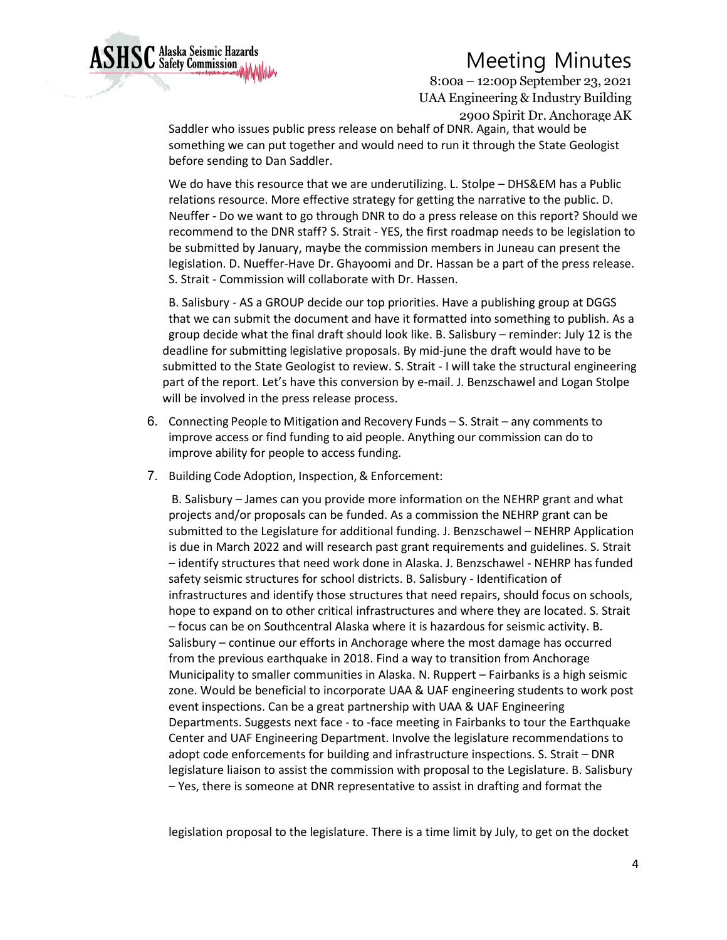

8:00a – 12:00p September 23, 2021 UAA Engineering & Industry Building 2900 Spirit Dr. Anchorage AK

Saddler who issues public press release on behalf of DNR. Again, that would be something we can put together and would need to run it through the State Geologist before sending to Dan Saddler.

We do have this resource that we are underutilizing. L. Stolpe – DHS&EM has a Public relations resource. More effective strategy for getting the narrative to the public. D. Neuffer - Do we want to go through DNR to do a press release on this report? Should we recommend to the DNR staff? S. Strait - YES, the first roadmap needs to be legislation to be submitted by January, maybe the commission members in Juneau can present the legislation. D. Nueffer-Have Dr. Ghayoomi and Dr. Hassan be a part of the press release. S. Strait - Commission will collaborate with Dr. Hassen.

B. Salisbury - AS a GROUP decide our top priorities. Have a publishing group at DGGS that we can submit the document and have it formatted into something to publish. As a group decide what the final draft should look like. B. Salisbury – reminder: July 12 is the deadline for submitting legislative proposals. By mid-june the draft would have to be submitted to the State Geologist to review. S. Strait - I will take the structural engineering part of the report. Let's have this conversion by e-mail. J. Benzschawel and Logan Stolpe will be involved in the press release process.

- 6. Connecting People to Mitigation and Recovery Funds S. Strait any comments to improve access or find funding to aid people. Anything our commission can do to improve ability for people to access funding.
- 7. Building Code Adoption, Inspection,& Enforcement:

B. Salisbury – James can you provide more information on the NEHRP grant and what projects and/or proposals can be funded. As a commission the NEHRP grant can be submitted to the Legislature for additional funding. J. Benzschawel – NEHRP Application is due in March 2022 and will research past grant requirements and guidelines. S. Strait – identify structures that need work done in Alaska. J. Benzschawel - NEHRP has funded safety seismic structures for school districts. B. Salisbury - Identification of infrastructures and identify those structures that need repairs, should focus on schools, hope to expand on to other critical infrastructures and where they are located. S. Strait – focus can be on Southcentral Alaska where it is hazardous for seismic activity. B. Salisbury – continue our efforts in Anchorage where the most damage has occurred from the previous earthquake in 2018. Find a way to transition from Anchorage Municipality to smaller communities in Alaska. N. Ruppert – Fairbanks is a high seismic zone. Would be beneficial to incorporate UAA & UAF engineering students to work post event inspections. Can be a great partnership with UAA & UAF Engineering Departments. Suggests next face - to -face meeting in Fairbanks to tour the Earthquake Center and UAF Engineering Department. Involve the legislature recommendations to adopt code enforcements for building and infrastructure inspections. S. Strait – DNR legislature liaison to assist the commission with proposal to the Legislature. B. Salisbury – Yes, there is someone at DNR representative to assist in drafting and format the

legislation proposal to the legislature. There is a time limit by July, to get on the docket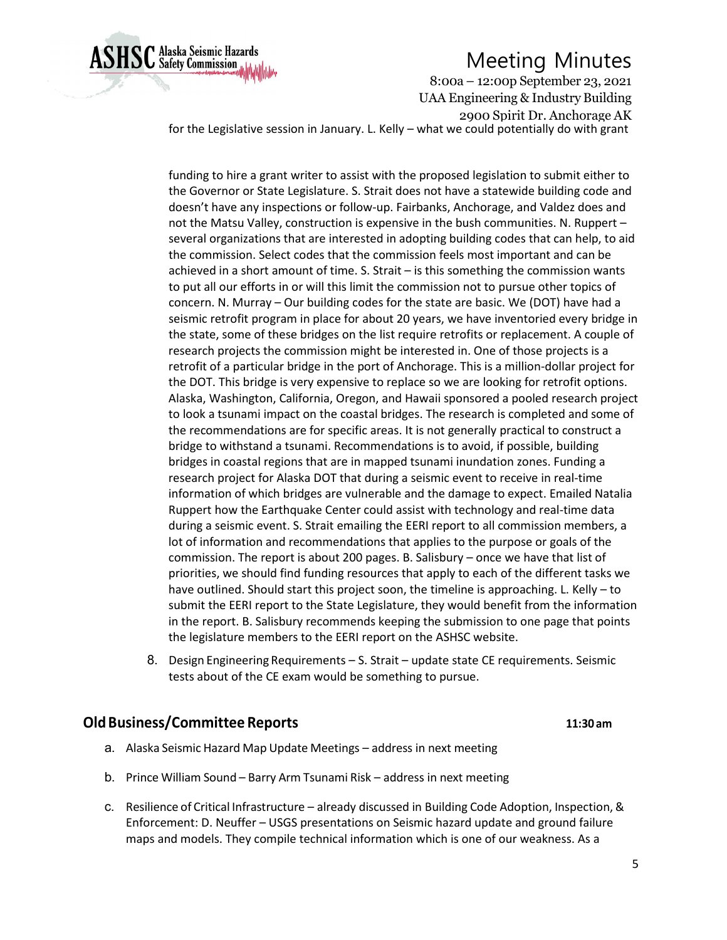

8:00a – 12:00p September 23, 2021 UAA Engineering & Industry Building 2900 Spirit Dr. Anchorage AK for the Legislative session in January. L. Kelly – what we could potentially do with grant

funding to hire a grant writer to assist with the proposed legislation to submit either to the Governor or State Legislature. S. Strait does not have a statewide building code and doesn't have any inspections or follow-up. Fairbanks, Anchorage, and Valdez does and not the Matsu Valley, construction is expensive in the bush communities. N. Ruppert – several organizations that are interested in adopting building codes that can help, to aid the commission. Select codes that the commission feels most important and can be achieved in a short amount of time. S. Strait – is this something the commission wants to put all our efforts in or will this limit the commission not to pursue other topics of concern. N. Murray – Our building codes for the state are basic. We (DOT) have had a seismic retrofit program in place for about 20 years, we have inventoried every bridge in the state, some of these bridges on the list require retrofits or replacement. A couple of research projects the commission might be interested in. One of those projects is a retrofit of a particular bridge in the port of Anchorage. This is a million-dollar project for the DOT. This bridge is very expensive to replace so we are looking for retrofit options. Alaska, Washington, California, Oregon, and Hawaii sponsored a pooled research project to look a tsunami impact on the coastal bridges. The research is completed and some of the recommendations are for specific areas. It is not generally practical to construct a bridge to withstand a tsunami. Recommendations is to avoid, if possible, building bridges in coastal regions that are in mapped tsunami inundation zones. Funding a research project for Alaska DOT that during a seismic event to receive in real-time information of which bridges are vulnerable and the damage to expect. Emailed Natalia Ruppert how the Earthquake Center could assist with technology and real-time data during a seismic event. S. Strait emailing the EERI report to all commission members, a lot of information and recommendations that applies to the purpose or goals of the commission. The report is about 200 pages. B. Salisbury – once we have that list of priorities, we should find funding resources that apply to each of the different tasks we have outlined. Should start this project soon, the timeline is approaching. L. Kelly – to submit the EERI report to the State Legislature, they would benefit from the information in the report. B. Salisbury recommends keeping the submission to one page that points the legislature members to the EERI report on the ASHSC website.

8. Design Engineering Requirements – S. Strait – update state CE requirements. Seismic tests about of the CE exam would be something to pursue.

#### **OldBusiness/Committee Reports 11:30 am**

- a. Alaska Seismic Hazard Map Update Meetings address in next meeting
- b. Prince William Sound Barry Arm Tsunami Risk address in next meeting
- c. Resilience of Critical Infrastructure already discussed in Building Code Adoption, Inspection,& Enforcement: D. Neuffer – USGS presentations on Seismic hazard update and ground failure maps and models. They compile technical information which is one of our weakness. As a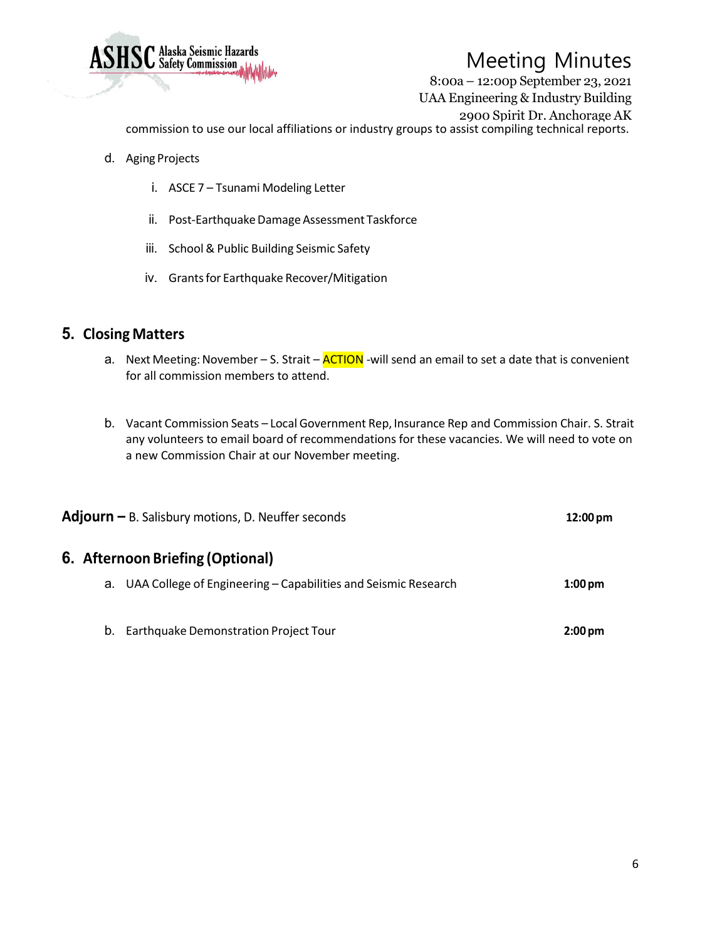

8:00a – 12:00p September 23, 2021 UAA Engineering & Industry Building 2900 Spirit Dr. Anchorage AK

commission to use our local affiliations or industry groups to assist compiling technical reports.

- d. Aging Projects
	- i. ASCE 7 Tsunami Modeling Letter
	- ii. Post-Earthquake Damage Assessment Taskforce
	- iii. School & Public Building Seismic Safety
	- iv. Grants for Earthquake Recover/Mitigation

### **5. Closing Matters**

- a. Next Meeting: November S. Strait **ACTION** -will send an email to set a date that is convenient for all commission members to attend.
- b. Vacant Commission Seats Local Government Rep, Insurance Rep and Commission Chair. S. Strait any volunteers to email board of recommendations for these vacancies. We will need to vote on a new Commission Chair at our November meeting.

| <b>Adjourn</b> $-$ B. Salisbury motions, D. Neuffer seconds |                                                                   | $12:00 \,\mathrm{pm}$ |  |
|-------------------------------------------------------------|-------------------------------------------------------------------|-----------------------|--|
| 6. Afternoon Briefing (Optional)                            |                                                                   |                       |  |
|                                                             | a. UAA College of Engineering – Capabilities and Seismic Research | $1:00 \text{ pm}$     |  |
| Earthquake Demonstration Project Tour<br>b.                 |                                                                   | $2:00 \text{ pm}$     |  |